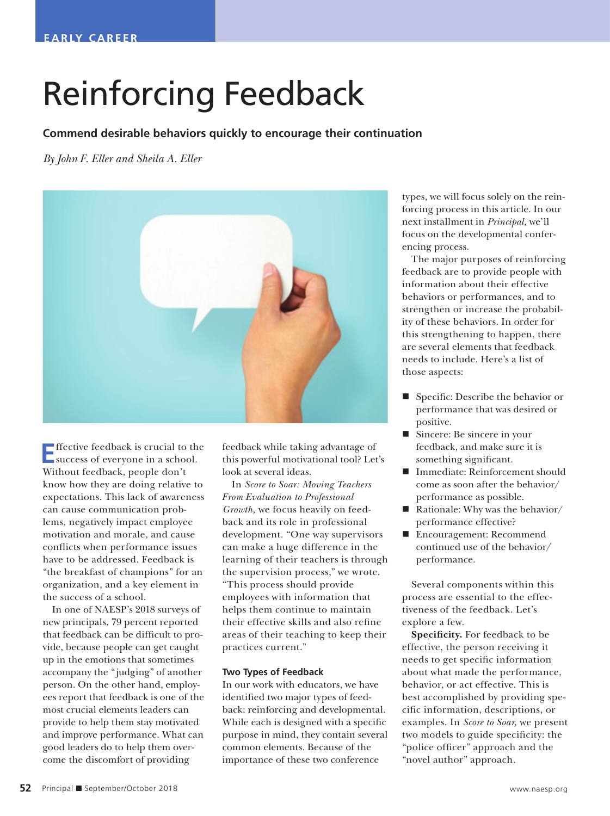## Reinforcing Feedback

## **Commend desirable behaviors quickly to encourage their continuation**

*By John F. Eller and Sheila A. Eller*



**E**ffective feedback is crucial to the success of everyone in a school. Without feedback, people don't know how they are doing relative to expectations. This lack of awareness can cause communication problems, negatively impact employee motivation and morale, and cause conflicts when performance issues have to be addressed. Feedback is "the breakfast of champions" for an organization, and a key element in the success of a school.

In one of NAESP's 2018 surveys of new principals, 79 percent reported that feedback can be difficult to provide, because people can get caught up in the emotions that sometimes accompany the "judging" of another person. On the other hand, employees report that feedback is one of the most crucial elements leaders can provide to help them stay motivated and improve performance. What can good leaders do to help them overcome the discomfort of providing

feedback while taking advantage of this powerful motivational tool? Let's look at several ideas.

In *Score to Soar: Moving Teachers From Evaluation to Professional Growth,* we focus heavily on feedback and its role in professional development. "One way supervisors can make a huge difference in the learning of their teachers is through the supervision process," we wrote. "This process should provide employees with information that helps them continue to maintain their effective skills and also refine areas of their teaching to keep their practices current."

## **Two Types of Feedback**

In our work with educators, we have identified two major types of feedback: reinforcing and developmental. While each is designed with a specific purpose in mind, they contain several common elements. Because of the importance of these two conference

types, we will focus solely on the reinforcing process in this article. In our next installment in *Principal,* we'll focus on the developmental conferencing process.

The major purposes of reinforcing feedback are to provide people with information about their effective behaviors or performances, and to strengthen or increase the probability of these behaviors. In order for this strengthening to happen, there are several elements that feedback needs to include. Here's a list of those aspects:

- Specific: Describe the behavior or performance that was desired or positive.
- Sincere: Be sincere in your feedback, and make sure it is something significant.
- Immediate: Reinforcement should come as soon after the behavior/ performance as possible.
- Rationale: Why was the behavior/ performance effective?
- Encouragement: Recommend continued use of the behavior/ performance.

Several components within this process are essential to the effectiveness of the feedback. Let's explore a few.

**Specificity.** For feedback to be effective, the person receiving it needs to get specific information about what made the performance, behavior, or act effective. This is best accomplished by providing specific information, descriptions, or examples. In *Score to Soar,* we present two models to guide specificity: the "police officer" approach and the "novel author" approach.